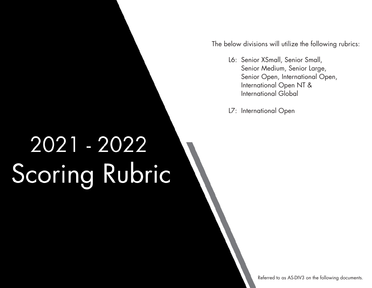The below divisions will utilize the following rubrics:

L6: Senior XSmall, Senior Small, Senior Medium, Senior Large, Senior Open, International Open, International Open NT & International Global

L7: International Open

# 2021 - 2022 Scoring Rubric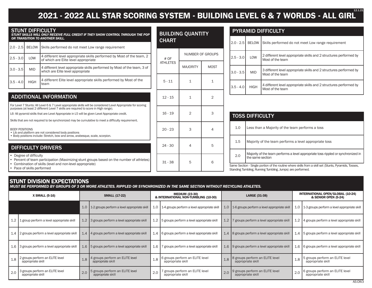# **2021 - 2022 ALL STAR SCORING SYSTEM - BUILDING LEVEL 6 & 7 WORLDS - ALL GIRL** 12.1.21

|  | <b>STUNT DIFFICULTY</b> |
|--|-------------------------|
|  |                         |

STUNT DIFFICULTY *STUNT SKILLS WILL ONLY RECEIVE FULL CREDIT IF THEY SHOW CONTROL THROUGH THE POP OR TRANSITION TO ANOTHER SKILL.*

| $2.0 - 2.5$ | <b>BELOW</b> | Skills performed do not meet Low range requirement                                                            |
|-------------|--------------|---------------------------------------------------------------------------------------------------------------|
| $2.5 - 3.0$ | LOW          | 4 different level appropriate skills performed by Most of the team, 2<br>of which are Elite level appropriate |
| $3.0 - 3.5$ | <b>MID</b>   | 4 different level appropriate skills performed by Most of the team, 3 of<br>which are Elite level appropriate |
| 13.5 - 4.0  | <b>HIGH</b>  | 4 different Elite level appropriate skills performed by Most of the<br>team                                   |

#### ADDITIONAL INFORMATION

For Level 7 Stunts: All Level 6 & 7 Level appropriate skills will be considered Level Appropriate for scoring purposes (at least 2 different Level 7 skills are required to score in High range).

L6- All pyramid skills that are Level Appropriate in L5 will be given Level Appropriate credit.

Skills that are not required to be synchronized may be cumulative to meet a difficulty requirement.

BODY POSITIONS

• Lib and platform are not considered body positions

• Body positions include: Stretch, bow and arrow, arabesque, scale, scorpion.

#### DIFFICULTY DRIVERS

• Degree of difficulty

• Percent of team participation (Maximizing stunt groups based on the number of athletes)

• Combination of skills (level and non-level appropriate)

• Pace of skills performed

#### BUILDING QUANTITY CHART

| VIANI           |                 |                  |
|-----------------|-----------------|------------------|
| # OF            |                 | NUMBER OF GROUPS |
| <b>ATHLETES</b> | <b>MAJORITY</b> | <b>MOST</b>      |
| $5 - 11$        | 1               | $\mathbf 1$      |
| $12 - 15$       | 1               | $\overline{2}$   |
| $16 - 19$       | $\overline{2}$  | 3                |
| $20 - 23$       | 3               | 4                |
| $24 - 30$       | $\overline{4}$  | 5                |
| $31 - 38$       | 5               | 6                |
|                 |                 |                  |

#### PYRAMID DIFFICULTY

| $2.0 - 2.5$ | <b>BELOW</b> | Skills performed do not meet Low range requirement                                     |
|-------------|--------------|----------------------------------------------------------------------------------------|
| $2.5 - 3.0$ | LOW          | 2 different level appropriate skills and 2 structures performed by<br>Most of the team |
| $3.0 - 3.5$ | <b>MID</b>   | 3 different level appropriate skills and 2 structures performed by<br>Most of the team |
| $3.5 - 4.0$ | <b>HIGH</b>  | 4 different level appropriate skills and 2 structures performed by<br>Most of the team |

|     | <b>TOSS DIFFICULTY</b>                                                                                                                                              |
|-----|---------------------------------------------------------------------------------------------------------------------------------------------------------------------|
| 1.0 | Less than a Majority of the team performs a toss                                                                                                                    |
| 1.5 | Majority of the team performs a level appropriate toss                                                                                                              |
| 2.0 | Majority of the team performs a level appropriate toss rippled or synchronized in<br>the same section                                                               |
|     | Same Section - Single portion of the routine where skills from a skill set (Stunts, Pyramids, Tosses,<br>Standing Tumbling, Running Tumbling, Jumps) are performed. |

#### **STUNT DIVISION EXPECTATIONS**

*MUST BE PERFORMED BY GROUPS OF 3 OR MORE ATHLETES. RIPPLED OR SYNCHRONIZED IN THE SAME SECTION WITHOUT RECYCLING ATHLETES.*

| X SMALL (5-16) |                                                      |     | <b>SMALL (17-22)</b>                                 |     | MEDIUM (23-30)<br>& INTERNATIONAL NON-TUMBLING (10-30) |     | LARGE (31-38)                                        |     | INTERNATIONAL OPEN/GLOBAL (10-24)<br>& SENIOR OPEN (5-24) |
|----------------|------------------------------------------------------|-----|------------------------------------------------------|-----|--------------------------------------------------------|-----|------------------------------------------------------|-----|-----------------------------------------------------------|
|                |                                                      |     | 1.0   1-2 groups perform a level appropriate skill   |     | 1.0   1-4 groups perform a level appropriate skill     |     | 1.0   1-6 groups perform a level appropriate skill   |     | 1.0   1-3 groups perform a level appropriate skill        |
|                | 1.2   1 group perform a level appropriate skill      |     | 1.2 3 groups perform a level appropriate skill       |     | 1.2   5 groups perform a level appropriate skill       |     | 1.2   7 groups perform a level appropriate skill     |     | 1.2   4 groups perform a level appropriate skill          |
|                | 1.4 2 groups perform a level appropriate skill       |     | 1.4   4 groups perform a level appropriate skill     |     | 1.4   6 groups perform a level appropriate skill       |     | 1.4   8 groups perform a level appropriate skill     |     | 1.4 5 groups perform a level appropriate skill            |
|                | 1.6 3 groups perform a level appropriate skill       |     | 1.6 5 groups perform a level appropriate skill       |     | 1.6   7 groups perform a level appropriate skill       |     | 1.6 9 groups perform a level appropriate skill       |     | 1.6   6 groups perform a level appropriate skill          |
| 1.8            | 2 groups perform an ELITE level<br>appropriate skill | 1.8 | 4 groups perform an ELITE level<br>appropriate skill | 1.8 | 6 groups perform an ELITE level<br>appropriate skill   | 1.8 | 8 groups perform an ELITE level<br>appropriate skill | 1.8 | 5 groups perform an ELITE level<br>appropriate skill      |
| 2.0            | 3 groups perform an ELITE level<br>appropriate skill | 2.0 | 5 groups perform an ELITE level<br>appropriate skill | 2.0 | 7 groups perform an ELITE level<br>appropriate skill   | 2.0 | 9 groups perform an ELITE level<br>appropriate skill | 2.0 | 6 groups perform an ELITE level<br>appropriate skill      |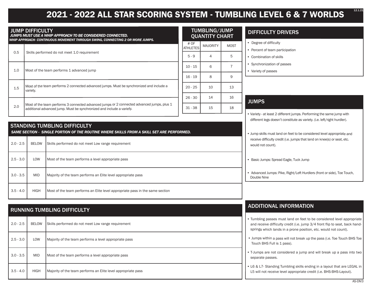## **2021 - 2022 ALL STAR SCORING SYSTEM - TUMBLING LEVEL 6 & 7 WORLDS**

|                                                                                                                                                                     | TUMBLING/JUMP<br><b>QUANTITY CHART</b>                                                                                                                                                                                                                             |                        |             |  |
|---------------------------------------------------------------------------------------------------------------------------------------------------------------------|--------------------------------------------------------------------------------------------------------------------------------------------------------------------------------------------------------------------------------------------------------------------|------------------------|-------------|--|
|                                                                                                                                                                     | # OF<br><b>ATHLETES</b>                                                                                                                                                                                                                                            | <b>MAJORITY</b>        | <b>MOST</b> |  |
|                                                                                                                                                                     | $5 - 9$                                                                                                                                                                                                                                                            | 4                      | 5           |  |
|                                                                                                                                                                     |                                                                                                                                                                                                                                                                    | 6                      |             |  |
|                                                                                                                                                                     | $16 - 19$                                                                                                                                                                                                                                                          | 8                      | 9           |  |
| Most of the team performs 2 connected advanced jumps. Must be synchronized and include a<br>variety.                                                                | $20 - 25$                                                                                                                                                                                                                                                          | 10                     | 13          |  |
|                                                                                                                                                                     | $26 - 30$                                                                                                                                                                                                                                                          | 14                     | 16          |  |
| Most of the team performs 3 connected advanced jumps or 2 connected advanced jumps, plus 1<br>additional advanced jump. Must be synchronized and include a variety. |                                                                                                                                                                                                                                                                    | 15                     | 18          |  |
|                                                                                                                                                                     | <b>JUMP DIFFICULTY</b><br>JUMPS MUST USE A WHIP APPROACH TO BE CONSIDERED CONNECTED.<br>WHIP APPROACH- CONTINUOUS MOVEMENT THROUGH SWING, CONNECTING 2 OR MORE JUMPS.<br>Skills performed do not meet 1.0 requirement<br>Most of the team performs 1 advanced jump | $10 - 15$<br>$31 - 38$ |             |  |

|             | <b>STANDING TUMBLING DIFFICULTY</b><br>SAME SECTION - SINGLE PORTION OF THE ROUTINE WHERE SKILLS FROM A SKILL SET ARE PERFORMED. |                                                                               |  |  |  |
|-------------|----------------------------------------------------------------------------------------------------------------------------------|-------------------------------------------------------------------------------|--|--|--|
| $2.0 - 2.5$ | <b>BELOW</b>                                                                                                                     | Skills performed do not meet Low range requirement                            |  |  |  |
| $2.5 - 3.0$ | LOW                                                                                                                              | Most of the team performs a level appropriate pass                            |  |  |  |
| $3.0 - 3.5$ | <b>MID</b>                                                                                                                       | Majority of the team performs an Elite level appropriate pass                 |  |  |  |
| $3.5 - 4.0$ | <b>HIGH</b>                                                                                                                      | Most of the team performs an Elite level appropriate pass in the same section |  |  |  |

# RUNNING TUMBLING DIFFICULTY 2.0 - 2.5 | BELOW Skills performed do not meet Low range requirement 2.5 - 3.0 | LOW | Majority of the team performs a level appropriate pass 3.0 - 3.5 MID Most of the team performs a level appropriate pass 3.5 - 4.0 HIGH Majority of the team performs an Elite level appropriate pass

#### **MP** RT<sub>i</sub>

## DIFFICULTY DRIVERS

- Degree of difficulty
- Percent of team participation
- Combination of skills
- Synchronization of passes
- Variety of passes

## **JUMPS**

• Variety - at least 2 different jumps. Performing the same jump with different legs doesn't constitute as variety. (i.e. left/right hurdler).

• Jump skills must land on feet to be considered level appropriate and receive difficulty credit (i.e. jumps that land on knee(s) or seat, etc. would not count).

• Basic Jumps: Spread Eagle, Tuck Jump

• Advanced Jumps: Pike, Right/Left Hurdlers (front or side), Toe Touch, Double Nine

## ADDITIONAL INFORMATION

- Tumbling passes must land on feet to be considered level appropriate and receive difficulty credit (i.e. jump 3/4 front flip to seat, back handsprings which lands in a prone position, etc. would not count).
- Jumps within a pass will not break up the pass (i.e. Toe Touch BHS Toe Touch BHS Full is 1 pass).
- T-Jumps are not considered a jump and will break up a pass into two separate passes.
- L6 & L7- Standing Tumbling skills ending in a layout that are LEGAL in L5 will not receive level appropriate credit (i.e. BHS-BHS-Layout).

12.1.21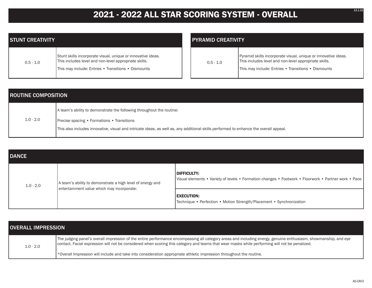# **2021 - 2022 ALL STAR SCORING SYSTEM - OVERALL**

| <b>STUNT CREATIVITY</b> |                                                                                                                                                                              |  |
|-------------------------|------------------------------------------------------------------------------------------------------------------------------------------------------------------------------|--|
| $0.5 - 1.0$             | Stunt skills incorporate visual, unique or innovative ideas.<br>This includes level and non-level appropriate skills.<br>This may include: Entries • Transitions • Dismounts |  |

| <b>PYRAMID CREATIVITY</b> |                                                                                                                         |  |  |  |
|---------------------------|-------------------------------------------------------------------------------------------------------------------------|--|--|--|
| $0.5 - 1.0$               | Pyramid skills incorporate visual, unique or innovative ideas.<br>This includes level and non-level appropriate skills. |  |  |  |
|                           | This may include: Entries . Transitions . Dismounts                                                                     |  |  |  |

| <b>ROUTINE COMPOSITION</b> |                                                                                                                                       |  |  |  |
|----------------------------|---------------------------------------------------------------------------------------------------------------------------------------|--|--|--|
|                            | A team's ability to demonstrate the following throughout the routine:                                                                 |  |  |  |
| $1.0 - 2.0$                | <b>Precise spacing • Formations • Transitions</b>                                                                                     |  |  |  |
|                            | This also includes innovative, visual and intricate ideas, as well as, any additional skills performed to enhance the overall appeal. |  |  |  |

| <b>DANCE</b> |                                                            |                                                                                                                       |
|--------------|------------------------------------------------------------|-----------------------------------------------------------------------------------------------------------------------|
| $1.0 - 2.0$  | A team's ability to demonstrate a high level of energy and | DIFFICULTY:<br>  Visual elements • Variety of levels • Formation changes • Footwork • Floorwork • Partner work • Pace |
|              | entertainment value which may incorporate:                 | <b>EXECUTION:</b><br>Technique • Perfection • Motion Strength/Placement • Synchronization                             |

| <b>OVERALL IMPRESSION</b> |                                                                                                                                                                                                                                                                                                                   |
|---------------------------|-------------------------------------------------------------------------------------------------------------------------------------------------------------------------------------------------------------------------------------------------------------------------------------------------------------------|
| $1.0 - 2.0$               | The judging panel's overall impression of the entire performance encompassing all category areas and including energy, genuine enthusiasm, showmanship, and eye<br>contact. Facial expression will not be considered when scoring this category and teams that wear masks while performing will not be penalized. |
|                           | $\star$ Overall Impression will include and take into consideration appropriate athletic impression throughout the routine.                                                                                                                                                                                       |

12.1.21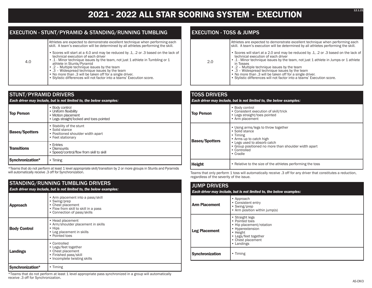## **2021 - 2022 ALL STAR SCORING SYSTEM - EXECUTION**

#### EXECUTION - STUNT/PYRAMID & STANDING/RUNNING TUMBLING

Athletes are expected to demonstrate excellent technique when performing each skill. A team's execution will be determined by all athletes performing the skill.

• Scores will start at a 4.0 and may be reduced by .1, .2 or .3 based on the lack of technical execution of each driver

• .1 - Minor technique issues by the team, not just 1 athlete in Tumbling or 1 athlete in Stunts/Pyramid

• .2 – Multiple technique issues by the team

4.0

- .3 Widespread technique issues by the team
- No more than .3 will be taken off for a single driver.
- Stylistic differences will not factor into a teams' Execution score.

| <b>STUNT/PYRAMID DRIVERS</b><br>Each driver may include, but is not limited to, the below examples: |                                                                                                          |  |
|-----------------------------------------------------------------------------------------------------|----------------------------------------------------------------------------------------------------------|--|
| <b>Top Person</b>                                                                                   | • Body control<br>• Uniform flexibility<br>• Motion placement<br>• Legs straight/locked and toes pointed |  |
| <b>Bases/Spotters</b>                                                                               | • Stability of the stunt<br>• Solid stance<br>• Positioned shoulder width apart<br>• Feet stationary     |  |
| <b>Transitions</b>                                                                                  | • Fntries<br>• Dismounts<br>• Speed/control/flow from skill to skill                                     |  |
| Synchronization*                                                                                    | • Timing                                                                                                 |  |

\*Teams that do not perform at least 1 level appropriate skill/transition by 2 or more groups in Stunts and Pyramids will automatically receive .3 off for Synchronization.

#### STANDING/RUNNING TUMBLING DRIVERS *Each driver may include, but is not limited to, the below examples:* **Approach** • Arm placement into a pass/skill • Swing/prep • Chest placement • Flow from skill to skill in a pass • Connection of pass/skills **Body Control** • Head placement • Arm/shoulder placement in skills • Hips • Leg placement in skills • Pointed toes **Landings** • Controlled • Legs/feet together • Chest placement • Finished pass/skill • Incomplete twisting skills **Synchronization\*** • Timing

\*Teams that do not perform at least 1 level appropriate pass synchronized in a group will automatically receive .3 off for Synchronization.

### EXECUTION - TOSS & JUMPS

|      | Athletes are expected to demonstrate excellent technique when performing each<br>skill. A team's execution will be determined by all athletes performing the skill.                                                                                                                                                                                                                                                                                                    |
|------|------------------------------------------------------------------------------------------------------------------------------------------------------------------------------------------------------------------------------------------------------------------------------------------------------------------------------------------------------------------------------------------------------------------------------------------------------------------------|
| -2.0 | • Scores will start at a 2.0 and may be reduced by .1, .2 or .3 based on the lack of<br>technical execution of each driver<br>• .1 - Minor technique issues by the team, not just 1 athlete in Jumps or 1 athlete<br>in Tosses<br>• .2 - Multiple technique issues by the team<br>• .3 - Widespread technique issues by the team<br>. No more than .3 will be taken off for a single driver.<br>• Stylistic differences will not factor into a teams' Execution score. |
|      |                                                                                                                                                                                                                                                                                                                                                                                                                                                                        |

#### TOSS DRIVERS *Each driver may include, but is not limited to, the below examples:* **Top Person** • Body control • Consistent execution of skill/trick • Legs straight/toes pointed • Arm placement **Bases/Spotters** • Using arms/legs to throw together • Solid stance • Timing • Arms up to catch high • Legs used to absorb catch • Group positioned no more than shoulder width apart • Controlled • Cradle **Height** • Relative to the size of the athletes performing the toss

Teams that only perform 1 toss will automatically receive .3 off for any driver that constitutes a reduction, regardless of the severity of the issue.

| <b>JUMP DRIVERS</b><br>Each driver may include, but is not limited to, the below examples: |                                                                                                                                                          |  |  |
|--------------------------------------------------------------------------------------------|----------------------------------------------------------------------------------------------------------------------------------------------------------|--|--|
| <b>Arm Placement</b>                                                                       | • Approach<br>• Consistent entry<br>• Swing/prep<br>• Arm position within jump(s)                                                                        |  |  |
| <b>Leg Placement</b>                                                                       | • Straight legs<br>• Pointed toes<br>• Hip placement/rotation<br>• Hyperextension<br>• Height<br>• Legs/feet together<br>• Chest placement<br>• Landings |  |  |
| <b>Synchronization</b>                                                                     | • Timing                                                                                                                                                 |  |  |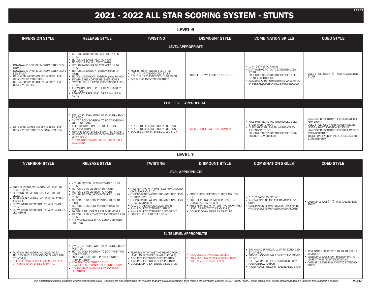## **2021 - 2022 ALL STAR SCORING SYSTEM - STUNTS**

| <b>LEVEL 6</b>                                                                                                                                                                                                                       |                                                                                                                                                                                                                                                                                                                                                                                                                                                                                                                   |                                                                                                                                                          |                                 |                                                                                                                                                                                                                                                                   |                                                                                                                                                                                                                                                                                       |
|--------------------------------------------------------------------------------------------------------------------------------------------------------------------------------------------------------------------------------------|-------------------------------------------------------------------------------------------------------------------------------------------------------------------------------------------------------------------------------------------------------------------------------------------------------------------------------------------------------------------------------------------------------------------------------------------------------------------------------------------------------------------|----------------------------------------------------------------------------------------------------------------------------------------------------------|---------------------------------|-------------------------------------------------------------------------------------------------------------------------------------------------------------------------------------------------------------------------------------------------------------------|---------------------------------------------------------------------------------------------------------------------------------------------------------------------------------------------------------------------------------------------------------------------------------------|
| <b>INVERSION STYLE</b>                                                                                                                                                                                                               | <b>RELEASE STYLE</b>                                                                                                                                                                                                                                                                                                                                                                                                                                                                                              | <b>TWISTING</b>                                                                                                                                          | <b>DISMOUNT STYLE</b>           | <b>COMBINATION SKILLS</b>                                                                                                                                                                                                                                         | <b>COED STYLE</b>                                                                                                                                                                                                                                                                     |
|                                                                                                                                                                                                                                      |                                                                                                                                                                                                                                                                                                                                                                                                                                                                                                                   |                                                                                                                                                          | <b>LEVEL APPROPRIATE</b>        |                                                                                                                                                                                                                                                                   |                                                                                                                                                                                                                                                                                       |
| DOWNWARD INVERSION FROM EXTENDED<br><b>STUNT</b><br>DOWNWARD INVERSION FROM EXTENDED 1<br><b>LEG STUNT</b><br>RELEASED INVERSION FROM PREP LEVEL<br>OR ABOVE TO EXTENSION<br>· RELEASED INVERSION FROM PREP LEVEL<br>OR ABOVE TO LIB | • % TURN SWITCH UP TO EXTENDED 1 LEG<br><b>STUNT</b><br>• TIC TOC LIB TO LIB (HIGH TO HIGH)<br>• TIC TOC LIB TO LIB (LOW TO HIGH)<br>• % TURN SWITCH UP TO EXTENDED 1 LEG<br><b>STUNT</b><br>• TIC TOC LIB TO BODY POSITION (HIGH TO<br>HIGH)<br>• TIC TOC LIB TO BODY POSITION (LOW TO HIGH)<br>• TWISTING HELICOPTER RELEASE MOVES<br>• SWITCH UP FULL TWIST TO EXTENDED 1 LEG<br><b>STUNT</b><br>• 1/2 TWISTING BALL UP TO EXTENDED BODY<br><b>POSITION</b><br>· REWIND TO PREP LEVEL OR BELOW (INT 6<br>ONLY) | • FULL UP TO EXTENDED 1 LEG STUNT<br>• 1 1/4 - 1 3/4 UP TO EXTENDED STUNT<br>• 1 1/4 - 1 3/4 UP TO EXTENDED 1 LEG STUNT<br>• DOUBLE UP TO EXTENDED STUNT | • DOUBLE DOWN FROM 1 LEG STUNT  | $\cdot$ 1 $\frac{1}{2}$ - 2 TWIST TO PRONE<br>• ¼ - ¾ TWISTING TIC TOC TO EXTENDED 1 LEG<br><b>STUNT</b><br>· FULL TWISTING TIC TOC TO EXTENDED 1 LEG<br>STUNT (LOW TO HIGH)<br>COMBINATION OF TWO OR MORE LEVEL APPRO-<br>PRIATE SKILLS PERFORMED SIMULTANEOUSLY | • COED STYLE TOSS 1/4 - 3/4 TWIST TO EXTENDED<br><b>STUNT</b>                                                                                                                                                                                                                         |
|                                                                                                                                                                                                                                      |                                                                                                                                                                                                                                                                                                                                                                                                                                                                                                                   |                                                                                                                                                          | <b>ELITE LEVEL APPROPRIATE</b>  |                                                                                                                                                                                                                                                                   |                                                                                                                                                                                                                                                                                       |
| RELEASED INVERSION FROM PREP LEVEL<br>OR ABOVE TO EXTENDED BODY POSITION                                                                                                                                                             | • SWITCH UP FULL TWIST TO EXTENDED BODY<br><b>POSITION</b><br>• TIC TOC BODY POSITION TO BODY POSITION<br>(HIGH TO HIGH)<br>• FULL TWISTING BALL UP TO EXTENDED<br><b>BODY POSITION</b><br>• REWIND TO EXTENDED STUNT (INT 6 ONLY)<br>• UNASSISTED REWIND TO EXTENDED STUNT<br>(INT 6 ONLY)<br>• 1 % TWISTING SWITCH UP TO EXTENDED 1<br><b>LEG STUNT</b>                                                                                                                                                         | • 1 % UP TO EXTENDED BODY POSITION<br>• 1 % UP TO EXTENDED BODY POSITION<br>• DOUBLE UP TO EXTENDED 1 LEG STUNT                                          | • KICK DOUBLE TWISTING DISMOUNT | • FULL TWISTING TIC TOC TO EXTENDED 1 LEG<br>STUNT (HIGH TO HIGH)<br>$\bullet$ $\,$ $\,\mathrm{\#}$ TWISTING RELEASED INVERSION TO<br><b>EXTENDED STUNT</b><br>• FULL TWISTING TIC TOC TO EXTENDED BODY<br>POSITION (LOW TO HIGH)                                 | • UNASSISTED COED STYLE TOSS EXTENDED 1<br><b>ARM STUNT</b><br>• COED STYLE TOSS FRONT HANDSPRING RE-<br>LEASE 1/2 TWIST TO EXTENDED STUNT<br>• UNASSISTED COED STYLE TOSS FULL TWIST TO<br><b>EXTENDED STUNT</b><br>• TOSS FRONT HANDSPRING % UP RELEASE TO<br><b>EXTENDED STUNT</b> |

**LEVEL 7**

| <b>INVERSION STYLE</b>                                                                                                                                                                                                                                                       | <b>RELEASE STYLE</b>                                                                                                                                                                                                                                                                                                                                                                                                                                          | <b>TWISTING</b>                                                                                                                                                                                                                                                                                                                                                                                                          | <b>DISMOUNT STYLE</b>                                                                                                                                                                                                 | <b>COMBINATION SKILLS</b>                                                                                                                                                                                                  | <b>COED STYLE</b>                                                                                                                                                                                      |
|------------------------------------------------------------------------------------------------------------------------------------------------------------------------------------------------------------------------------------------------------------------------------|---------------------------------------------------------------------------------------------------------------------------------------------------------------------------------------------------------------------------------------------------------------------------------------------------------------------------------------------------------------------------------------------------------------------------------------------------------------|--------------------------------------------------------------------------------------------------------------------------------------------------------------------------------------------------------------------------------------------------------------------------------------------------------------------------------------------------------------------------------------------------------------------------|-----------------------------------------------------------------------------------------------------------------------------------------------------------------------------------------------------------------------|----------------------------------------------------------------------------------------------------------------------------------------------------------------------------------------------------------------------------|--------------------------------------------------------------------------------------------------------------------------------------------------------------------------------------------------------|
| <b>LEVEL APPROPRIATE</b>                                                                                                                                                                                                                                                     |                                                                                                                                                                                                                                                                                                                                                                                                                                                               |                                                                                                                                                                                                                                                                                                                                                                                                                          |                                                                                                                                                                                                                       |                                                                                                                                                                                                                            |                                                                                                                                                                                                        |
| FREE FLIPPING FROM GROUND LEVEL TO<br>CRADLE (L7)<br>• FLIPPING FROM GROUND LEVEL TO PREP<br>LEVEL (L7)<br>• FLIPPING FROM GROUND LEVEL TO EXTEN-<br>SION (L7)<br>DOWNWARD INVERSION FROM EXTENDED<br><b>STUNT</b><br>DOWNWARD INVERSION FROM EXTENDED 1<br><b>LEG STUNT</b> | • 14 TURN SWITCH UP TO EXTENDED 1 LEG<br><b>STUNT</b><br>• TIC TOC LIB TO LIB (HIGH TO HIGH)<br>• TIC TOC LIB TO LIB (LOW TO HIGH)<br>• 1/2 TURN SWITCH UP TO EXTENDED 1 LEG<br><b>STUNT</b><br>• TIC TOC LIB TO BODY POSITION (HIGH TO<br>HIGH)<br>• TIC TOC LIB TO BODY POSITION (LOW TO<br>HIGH)<br>• TWISTING HELICOPTER RELEASE MOVES<br>• SWITCH UP FULL TWIST TO EXTENDED 1 LEG<br><b>STUNT</b><br>• 1/2 TWISTING BALL UP TO EXTENDED BODY<br>POSITION | • FREE FLIPPING WITH TWISTING FROM GROUND<br>LEVEL TO CRADLE (L7)<br>• FLIPPING WITH TWISTING FROM GROUND LEVEL<br>TO PREP LEVEL (L7)<br>• FLIPPING WITH TWISTING FROM GROUND LEVEL<br>TO EXTENSION (L7)<br>• FULL UP TO EXTENDED 1 LEG STUNT<br>$\cdot$ 1 $\frac{1}{4}$ - 1 $\frac{3}{4}$ UP TO EXTENDED STUNT<br>$\cdot$ 1 $\frac{1}{4}$ - 1 $\frac{3}{4}$ UP TO EXTENDED 1 LEG STUNT<br>• DOUBLE UP TO EXTENDED STUNT | FRONT FREE FLIPPING TO GROUND LEVEL<br>(L7)<br>FREE FLIPPING FROM PREP LEVEL OR<br>BELOW TO CRADLE (L7)<br>• FREE FLIPPING WITH TWISTING FROM PREP<br>LEVEL OR BELOW TO CRADLE (L7)<br>• DOUBLE DOWN FROM 1 LEG STUNT | $\cdot$ 1 $\frac{1}{2}$ - 2 TWIST TO PRONE<br>• ¼ - % TWISTING TIC TOC TO EXTENDED 1 LEG<br><b>STUNT</b><br>COMBINATION OF TWO OR MORE LEVEL APPRO-<br>PRIATE SKILLS PERFORMED SIMULTANEOUSLY                              | • COED STYLE TOSS 1/4 - 3/4 TWIST TO EXTENDED<br><b>STUNT</b>                                                                                                                                          |
| <b>ELITE LEVEL APPROPRIATE</b>                                                                                                                                                                                                                                               |                                                                                                                                                                                                                                                                                                                                                                                                                                                               |                                                                                                                                                                                                                                                                                                                                                                                                                          |                                                                                                                                                                                                                       |                                                                                                                                                                                                                            |                                                                                                                                                                                                        |
| FLIPPING FROM GROUND LEVEL TO EX-<br>TENDED SINGLE LEG AND/OR SINGLE ARM<br>STUNT (L7)<br>• RELEASED INVERSION FROM PREP LEVEL<br>OR ABOVE TO EXTENDED STUNT (L7)                                                                                                            | • SWITCH UP FULL TWIST TO EXTENDED BODY<br>POSITION<br>• TIC TOC BODY POSITION TO BODY POSITION<br>(HIGH TO HIGH)<br>• FULL TWISTING BALL UP TO EXTENDED<br><b>BODY POSITION</b><br>• REWIND TO EXTENDED STUNT<br>. UNASSISTED REWIND TO EXTENDED STUNT<br>• 1 % TWISTING SWITCH UP TO EXTENDED 1<br><b>LEG STUNT</b>                                                                                                                                         | • FLIPPING WITH TWISTING FROM GROUND<br>LEVEL TO EXTENDED SINGLE LEG (L7)<br>• 1 % UP TO EXTENDED BODY POSITION<br>• 1 % UP TO EXTENDED BODY POSITION<br>• DOUBLE UP TO EXTENDED 1 LEG STUNT                                                                                                                                                                                                                             | • KICK DOUBLE TWISTING DISMOUNT<br>• FREE FLIPPING WITH 1/2 TWIST FROM<br>PREP LEVEL TO CRADLE (L7)                                                                                                                   | BACKHANDSPRING FULL UP TO EXTENDED<br>STUNT (L7)<br>• FRONT HANDSPRING 1 % UP TO EXTENDED<br><b>STUNT</b><br>· FULL TWISTING TIC TOC TO EXTENDED BODY<br>POSITION (LOW TO HIGH)<br>FRONT HANDSPRING % UP TO EXTENDED STUNT | • UNASSISTED COED STYLE TOSS EXTENDED 1<br><b>ARM STUNT</b><br>• COED STYLE TOSS FRONT HANDSPRING RE-<br>LEASE 1/2 TWIST TO EXTENDED STUNT<br>• COED STYLE TOSS FULL TWIST TO EXTENDED<br><b>STUNT</b> |

#### This document includes examples of level appropriate skills. Coaches are still responsible for ensuring that any skills performed in their routine are compliant with the USASF Safety Rules. Please check back as this docume

12.1.21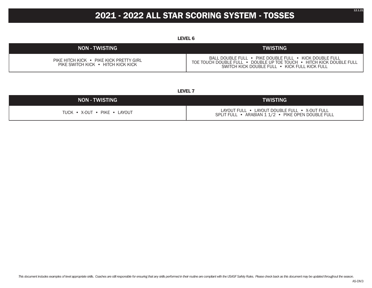## **2021 - 2022 ALL STAR SCORING SYSTEM - TOSSES**

**LEVEL 6**

| <b>NON - TWISTING</b>                                                         | <b>TWISTING</b>                                                                                                                                                                 |
|-------------------------------------------------------------------------------|---------------------------------------------------------------------------------------------------------------------------------------------------------------------------------|
| PIKE HITCH KICK • PIKE KICK PRETTY GIRL<br>PIKE SWITCH KICK • HITCH KICK KICK | BALL DOUBLE FULL • PIKE DOUBLE FULL • KICK DOUBLE FULL<br>TOE TOUCH DOUBLE FULL • DOUBLE UP TOE TOUCH • HITCH KICK DOUBLE FULL<br>SWITCH KICK DOUBLE FULL • KICK FULL KICK FULL |

**LEVEL 7**

| <b>NON - TWISTING</b>        | <b>TWISTING</b>                                                                                     |
|------------------------------|-----------------------------------------------------------------------------------------------------|
| TUCK • X-OUT • PIKE • LAYOUT | LAYOUT FULL • LAYOUT DOUBLE FULL • X-OUT FULL<br>SPLIT FULL • ARABIAN 1 1/2 • PIKE OPEN DOUBLE FULL |